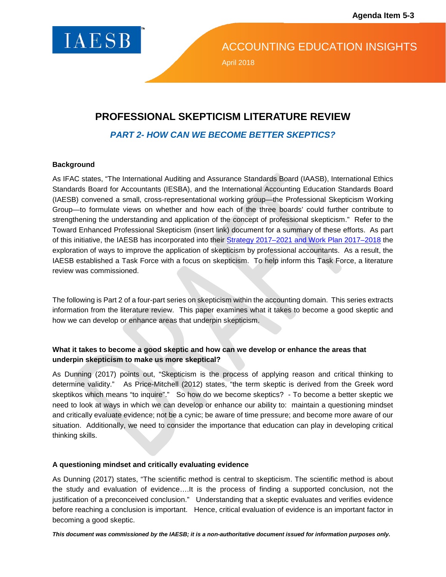

ACCOUNTING EDUCATION INSIGHTS

April 2018

# **PROFESSIONAL SKEPTICISM LITERATURE REVIEW**

*PART 2- HOW CAN WE BECOME BETTER SKEPTICS?*

# **Background**

As IFAC states, "The International Auditing and Assurance Standards Board (IAASB), International Ethics Standards Board for Accountants (IESBA), and the International Accounting Education Standards Board (IAESB) convened a small, cross-representational working group—the Professional Skepticism Working Group—to formulate views on whether and how each of the three boards' could further contribute to strengthening the understanding and application of the concept of professional skepticism." Refer to the Toward Enhanced Professional Skepticism (insert link) document for a summary of these efforts. As part of this initiative, the IAESB has incorporated into their [Strategy 2017–2021 and Work Plan 2017–2018](https://www.ifac.org/system/files/publications/files/IAESB-Strategy-and-Work-Plan.pdf) the exploration of ways to improve the application of skepticism by professional accountants. As a result, the IAESB established a Task Force with a focus on skepticism. To help inform this Task Force, a literature review was commissioned.

The following is Part 2 of a four-part series on skepticism within the accounting domain. This series extracts information from the literature review. This paper examines what it takes to become a good skeptic and how we can develop or enhance areas that underpin skepticism.

# **What it takes to become a good skeptic and how can we develop or enhance the areas that underpin skepticism to make us more skeptical?**

As Dunning (2017) points out, "Skepticism is the process of applying reason and critical thinking to determine validity." As Price-Mitchell (2012) states, "the term skeptic is derived from the Greek word skeptikos which means "to inquire"." So how do we become skeptics? - To become a better skeptic we need to look at ways in which we can develop or enhance our ability to: maintain a questioning mindset and critically evaluate evidence; not be a cynic; be aware of time pressure; and become more aware of our situation. Additionally, we need to consider the importance that education can play in developing critical thinking skills.

#### **A questioning mindset and critically evaluating evidence**

As Dunning (2017) states, "The scientific method is central to skepticism. The scientific method is about the study and evaluation of evidence….It is the process of finding a supported conclusion, not the justification of a preconceived conclusion." Understanding that a skeptic evaluates and verifies evidence before reaching a conclusion is important. Hence, critical evaluation of evidence is an important factor in becoming a good skeptic.

*This document was commissioned by the IAESB; it is a non-authoritative document issued for information purposes only.*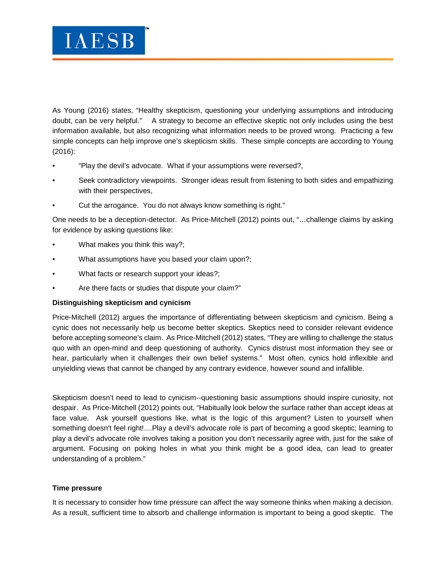As Young (2016) states, "Healthy skepticism, questioning your underlying assumptions and introducing doubt, can be very helpful." A strategy to become an effective skeptic not only includes using the best information available, but also recognizing what information needs to be proved wrong. Practicing a few simple concepts can help improve one's skepticism skills. These simple concepts are according to Young (2016):

- "Play the devil's advocate. What if your assumptions were reversed?,
- Seek contradictory viewpoints. Stronger ideas result from listening to both sides and empathizing with their perspectives,
- Cut the arrogance. You do not always know something is right."

One needs to be a deception-detector. As Price-Mitchell (2012) points out, "…challenge claims by asking for evidence by asking questions like:

- What makes you think this way?;
- What assumptions have you based your claim upon?;
- What facts or research support your ideas?;
- Are there facts or studies that dispute your claim?"

#### **Distinguishing skepticism and cynicism**

Price-Mitchell (2012) argues the importance of differentiating between skepticism and cynicism. Being a cynic does not necessarily help us become better skeptics. Skeptics need to consider relevant evidence before accepting someone's claim. As Price-Mitchell (2012) states, "They are willing to challenge the status quo with an open-mind and deep questioning of authority. Cynics distrust most information they see or hear, particularly when it challenges their own belief systems." Most often, cynics hold inflexible and unyielding views that cannot be changed by any contrary evidence, however sound and infallible.

Skepticism doesn't need to lead to cynicism--questioning basic assumptions should inspire curiosity, not despair. As Price-Mitchell (2012) points out, "Habitually look below the surface rather than accept ideas at face value. Ask yourself questions like, what is the logic of this argument? Listen to yourself when something doesn't feel right!....Play a devil's advocate role is part of becoming a good skeptic; learning to play a devil's advocate role involves taking a position you don't necessarily agree with, just for the sake of argument. Focusing on poking holes in what you think might be a good idea, can lead to greater understanding of a problem."

#### **Time pressure**

It is necessary to consider how time pressure can affect the way someone thinks when making a decision. As a result, sufficient time to absorb and challenge information is important to being a good skeptic. The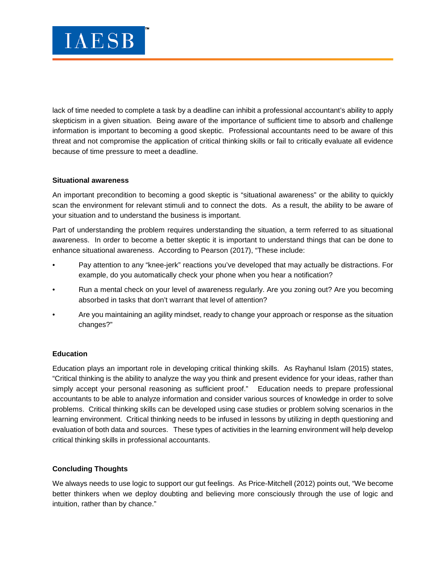lack of time needed to complete a task by a deadline can inhibit a professional accountant's ability to apply skepticism in a given situation. Being aware of the importance of sufficient time to absorb and challenge information is important to becoming a good skeptic. Professional accountants need to be aware of this threat and not compromise the application of critical thinking skills or fail to critically evaluate all evidence because of time pressure to meet a deadline.

#### **Situational awareness**

An important precondition to becoming a good skeptic is "situational awareness" or the ability to quickly scan the environment for relevant stimuli and to connect the dots. As a result, the ability to be aware of your situation and to understand the business is important.

Part of understanding the problem requires understanding the situation, a term referred to as situational awareness. In order to become a better skeptic it is important to understand things that can be done to enhance situational awareness. According to Pearson (2017), "These include:

- Pay attention to any "knee-jerk" reactions you've developed that may actually be distractions. For example, do you automatically check your phone when you hear a notification?
- Run a mental check on your level of awareness regularly. Are you zoning out? Are you becoming absorbed in tasks that don't warrant that level of attention?
- Are you maintaining an agility mindset, ready to change your approach or response as the situation changes?"

# **Education**

Education plays an important role in developing critical thinking skills. As Rayhanul Islam (2015) states, "Critical thinking is the ability to analyze the way you think and present evidence for your ideas, rather than simply accept your personal reasoning as sufficient proof." Education needs to prepare professional accountants to be able to analyze information and consider various sources of knowledge in order to solve problems. Critical thinking skills can be developed using case studies or problem solving scenarios in the learning environment. Critical thinking needs to be infused in lessons by utilizing in depth questioning and evaluation of both data and sources. These types of activities in the learning environment will help develop critical thinking skills in professional accountants.

#### **Concluding Thoughts**

We always needs to use logic to support our gut feelings. As Price-Mitchell (2012) points out, "We become better thinkers when we deploy doubting and believing more consciously through the use of logic and intuition, rather than by chance."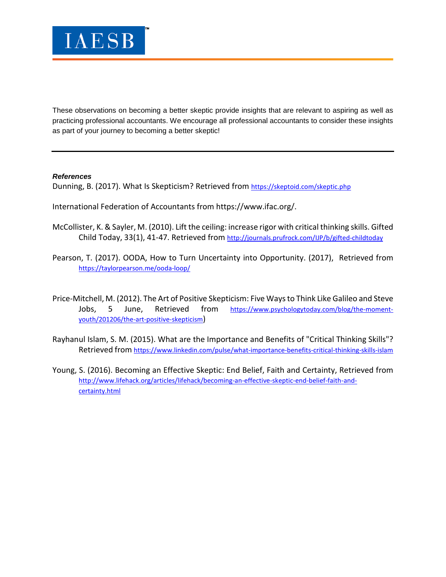These observations on becoming a better skeptic provide insights that are relevant to aspiring as well as practicing professional accountants. We encourage all professional accountants to consider these insights as part of your journey to becoming a better skeptic!

# *References*

[Dunning,](https://skeptoid.com/bios/brian_dunning.php) B. (2017). What Is Skepticism? Retrieved from<https://skeptoid.com/skeptic.php>

- International Federation of Accountants from https://www.ifac.org/.
- McCollister, K. & Sayler, M. (2010). Lift the ceiling: increase rigor with critical thinking skills. Gifted Child Today, 33(1), 41-47. Retrieved from<http://journals.prufrock.com/IJP/b/gifted-childtoday>
- Pearson, T. (2017). OODA, How to Turn Uncertainty into Opportunity. (2017), Retrieved from <https://taylorpearson.me/ooda-loop/>
- Price-Mitchell, M. (2012). The Art of Positive Skepticism: Five Ways to Think Like Galileo and Steve Jobs, 5 June, Retrieved from [https://www.psychologytoday.com/blog/the-moment](https://www.psychologytoday.com/blog/the-moment-youth/201206/the-art-positive-skepticism)[youth/201206/the-art-positive-skepticism\)](https://www.psychologytoday.com/blog/the-moment-youth/201206/the-art-positive-skepticism)
- [Rayhanul Islam,](https://www.linkedin.com/in/smrayhanulislam) S. M. (2015). What are the Importance and Benefits of "Critical Thinking Skills"? Retrieved fro[m https://www.linkedin.com/pulse/what-importance-benefits-critical-thinking-skills-islam](https://www.linkedin.com/pulse/what-importance-benefits-critical-thinking-skills-islam)
- Young, S. (2016). Becoming an Effective Skeptic: End Belief, Faith and Certainty, Retrieved from [http://www.lifehack.org/articles/lifehack/becoming-an-effective-skeptic-end-belief-faith-and](http://www.lifehack.org/articles/lifehack/becoming-an-effective-skeptic-end-belief-faith-and-certainty.html)[certainty.html](http://www.lifehack.org/articles/lifehack/becoming-an-effective-skeptic-end-belief-faith-and-certainty.html)